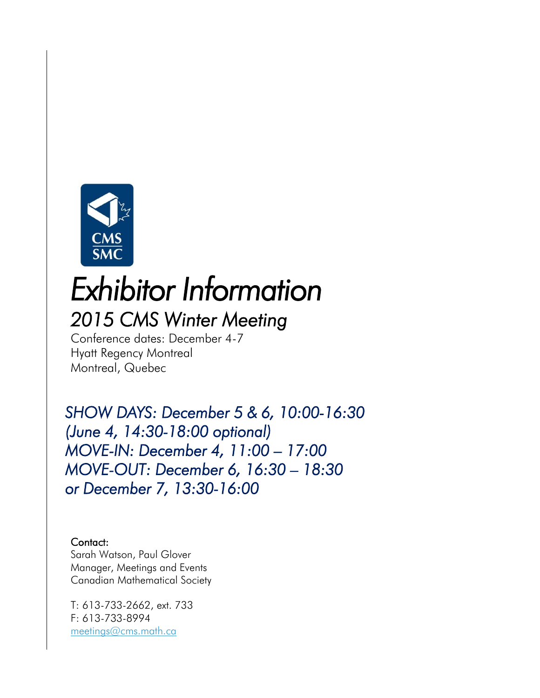

# *Exhibitor Information*

# *2015 CMS Winter Meeting*

Conference dates: December 4-7 Hyatt Regency Montreal Montreal, Quebec

*SHOW DAYS: December 5 & 6, 10:00-16:30 (June 4, 14:30-18:00 optional) MOVE-IN: December 4, 11:00 – 17:00 MOVE-OUT: December 6, 16:30 – 18:30 or December 7, 13:30-16:00* 

#### Contact:

Sarah Watson, Paul Glover Manager, Meetings and Events Canadian Mathematical Society

T: 613-733-2662, ext. 733 F: 613-733-8994 [meetings@cms.math.ca](mailto:meetings@cms.math.ca)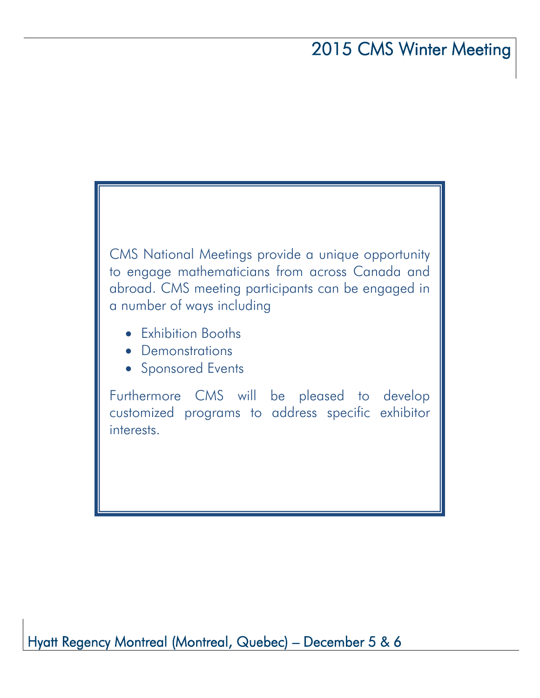CMS National Meetings provide a unique opportunity to engage mathematicians from across Canada and abroad. CMS meeting participants can be engaged in a number of ways including

- Exhibition Booths
- Demonstrations
- Sponsored Events

Furthermore CMS will be pleased to develop customized programs to address specific exhibitor interests.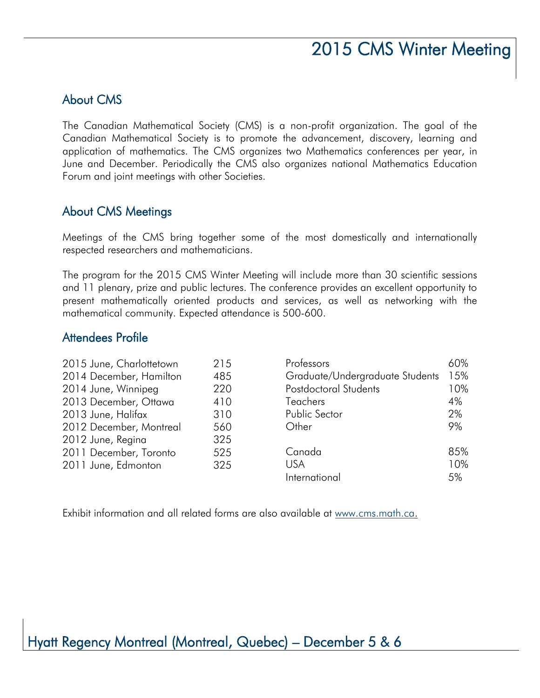#### About CMS

The Canadian Mathematical Society (CMS) is a non-profit organization. The goal of the Canadian Mathematical Society is to promote the advancement, discovery, learning and application of mathematics. The CMS organizes two Mathematics conferences per year, in June and December. Periodically the CMS also organizes national Mathematics Education Forum and joint meetings with other Societies.

#### About CMS Meetings

Meetings of the CMS bring together some of the most domestically and internationally respected researchers and mathematicians.

The program for the 2015 CMS Winter Meeting will include more than 30 scientific sessions and 11 plenary, prize and public lectures. The conference provides an excellent opportunity to present mathematically oriented products and services, as well as networking with the mathematical community. Expected attendance is 500-600.

#### Attendees Profile

| 2015 June, Charlottetown | 215 | Professors                      | 60% |
|--------------------------|-----|---------------------------------|-----|
| 2014 December, Hamilton  | 485 | Graduate/Undergraduate Students | 15% |
| 2014 June, Winnipeg      | 220 | <b>Postdoctoral Students</b>    | 10% |
| 2013 December, Ottawa    | 410 | <b>Teachers</b>                 | 4%  |
| 2013 June, Halifax       | 310 | Public Sector                   | 2%  |
| 2012 December, Montreal  | 560 | Other                           | 9%  |
| 2012 June, Regina        | 325 |                                 |     |
| 2011 December, Toronto   | 525 | Canada                          | 85% |
| 2011 June, Edmonton      | 325 | <b>USA</b>                      | 10% |
|                          |     | International                   | 5%  |

Exhibit information and all related forms are also available at [www.cms.math.ca.](http://www.cms.math.ca/)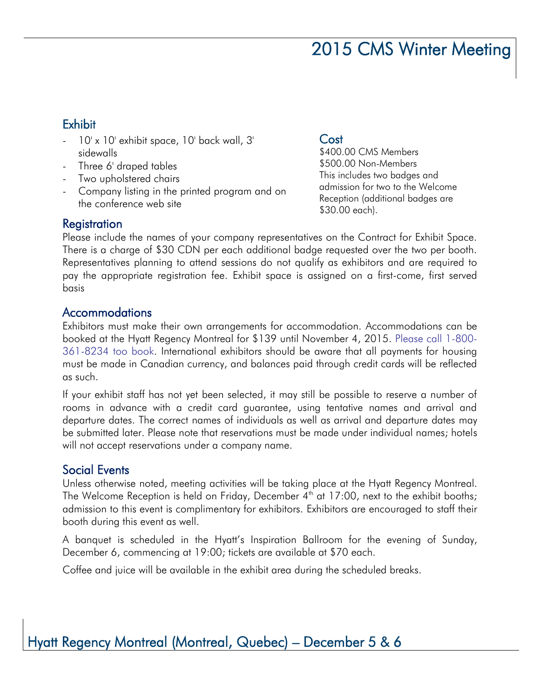#### **Exhibit**

- 10' x 10' exhibit space, 10' back wall, 3' sidewalls
- Three 6' draped tables
- Two upholstered chairs
- Company listing in the printed program and on the conference web site

#### **Cost**

\$400.00 CMS Members \$500.00 Non-Members This includes two badges and admission for two to the Welcome Reception (additional badges are \$30.00 each).

#### **Registration**

Please include the names of your company representatives on the Contract for Exhibit Space. There is a charge of \$30 CDN per each additional badge requested over the two per booth. Representatives planning to attend sessions do not qualify as exhibitors and are required to pay the appropriate registration fee. Exhibit space is assigned on a first-come, first served basis

#### Accommodations

Exhibitors must make their own arrangements for accommodation. Accommodations can be booked at the Hyatt Regency Montreal for \$139 until November 4, 2015. Please call 1-800- 361-8234 too book. International exhibitors should be aware that all payments for housing must be made in Canadian currency, and balances paid through credit cards will be reflected as such.

If your exhibit staff has not yet been selected, it may still be possible to reserve a number of rooms in advance with a credit card guarantee, using tentative names and arrival and departure dates. The correct names of individuals as well as arrival and departure dates may be submitted later. Please note that reservations must be made under individual names; hotels will not accept reservations under a company name.

#### Social Events

Unless otherwise noted, meeting activities will be taking place at the Hyatt Regency Montreal. The Welcome Reception is held on Friday, December  $4<sup>th</sup>$  at 17:00, next to the exhibit booths; admission to this event is complimentary for exhibitors. Exhibitors are encouraged to staff their booth during this event as well.

A banquet is scheduled in the Hyatt's Inspiration Ballroom for the evening of Sunday, December 6, commencing at 19:00; tickets are available at \$70 each.

Coffee and juice will be available in the exhibit area during the scheduled breaks.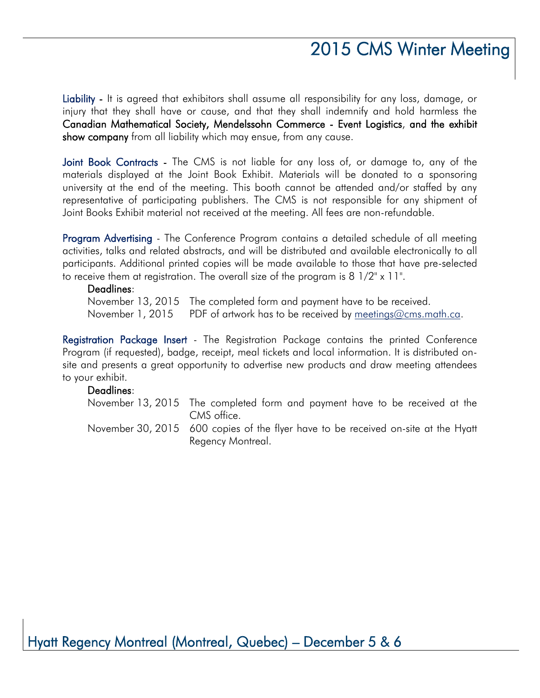Liability - It is agreed that exhibitors shall assume all responsibility for any loss, damage, or injury that they shall have or cause, and that they shall indemnify and hold harmless the Canadian Mathematical Society, Mendelssohn Commerce - Event Logistics, and the exhibit show company from all liability which may ensue, from any cause.

Joint Book Contracts - The CMS is not liable for any loss of, or damage to, any of the materials displayed at the Joint Book Exhibit. Materials will be donated to a sponsoring university at the end of the meeting. This booth cannot be attended and/or staffed by any representative of participating publishers. The CMS is not responsible for any shipment of Joint Books Exhibit material not received at the meeting. All fees are non-refundable.

Program Advertising - The Conference Program contains a detailed schedule of all meeting activities, talks and related abstracts, and will be distributed and available electronically to all participants. Additional printed copies will be made available to those that have pre-selected to receive them at registration. The overall size of the program is 8 1/2" x 11".

#### Deadlines:

November 13, 2015 The completed form and payment have to be received. November 1, 2015 PDF of artwork has to be received by [meetings@cms.math.ca.](mailto:meetings@cms.math.ca)

Registration Package Insert - The Registration Package contains the printed Conference Program (if requested), badge, receipt, meal tickets and local information. It is distributed onsite and presents a great opportunity to advertise new products and draw meeting attendees to your exhibit.

#### Deadlines:

- November 13, 2015 The completed form and payment have to be received at the CMS office.
- November 30, 2015 600 copies of the flyer have to be received on-site at the Hyatt Regency Montreal.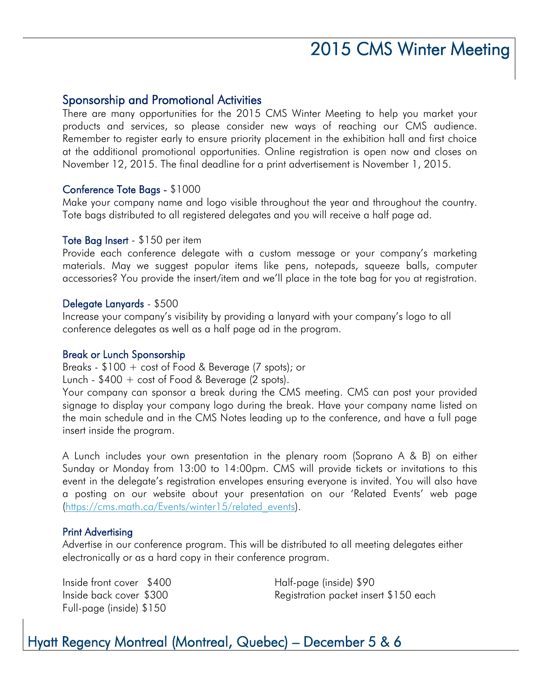#### Sponsorship and Promotional Activities

There are many opportunities for the 2015 CMS Winter Meeting to help you market your products and services, so please consider new ways of reaching our CMS audience. Remember to register early to ensure priority placement in the exhibition hall and first choice at the additional promotional opportunities. Online registration is open now and closes on November 12, 2015. The final deadline for a print advertisement is November 1, 2015.

#### Conference Tote Bags - \$1000

Make your company name and logo visible throughout the year and throughout the country. Tote bags distributed to all registered delegates and you will receive a half page ad.

#### Tote Bag Insert - \$150 per item

Provide each conference delegate with a custom message or your company's marketing materials. May we suggest popular items like pens, notepads, squeeze balls, computer accessories? You provide the insert/item and we'll place in the tote bag for you at registration.

#### Delegate Lanyards - \$500

Increase your company's visibility by providing a lanyard with your company's logo to all conference delegates as well as a half page ad in the program.

#### Break or Lunch Sponsorship

Breaks - \$100 + cost of Food & Beverage (7 spots); or

Lunch - \$400 + cost of Food & Beverage (2 spots).

Your company can sponsor a break during the CMS meeting. CMS can post your provided signage to display your company logo during the break. Have your company name listed on the main schedule and in the CMS Notes leading up to the conference, and have a full page insert inside the program.

A Lunch includes your own presentation in the plenary room (Soprano A & B) on either Sunday or Monday from 13:00 to 14:00pm. CMS will provide tickets or invitations to this event in the delegate's registration envelopes ensuring everyone is invited. You will also have a posting on our website about your presentation on our 'Related Events' web page [\(https://cms.math.ca/Events/winter15/related\\_events\)](https://cms.math.ca/Events/winter15/related_events).

#### Print Advertising

Advertise in our conference program. This will be distributed to all meeting delegates either electronically or as a hard copy in their conference program.

Inside front cover \$400 Half-page (inside) \$90 Full-page (inside) \$150

Inside back cover \$300 Registration packet insert \$150 each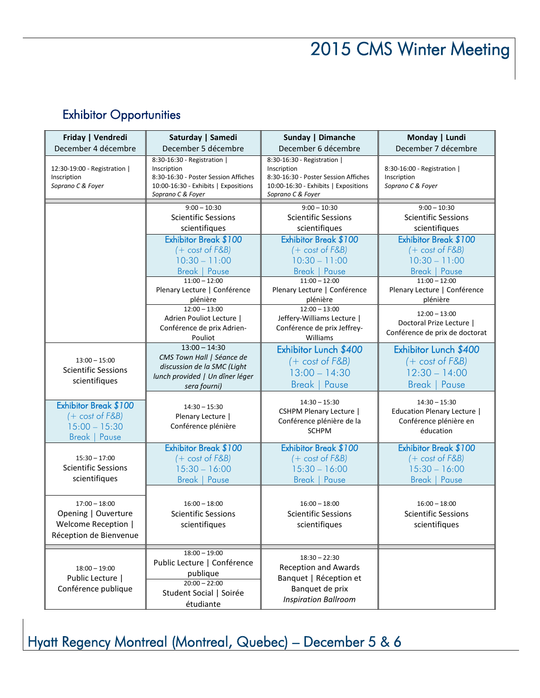### Exhibitor Opportunities

| Friday   Vendredi<br>December 4 décembre                                                    | Saturday   Samedi<br>December 5 décembre                                                                                                        | Sunday   Dimanche<br>December 6 décembre                                                                                                        | Monday   Lundi<br>December 7 décembre                                                        |
|---------------------------------------------------------------------------------------------|-------------------------------------------------------------------------------------------------------------------------------------------------|-------------------------------------------------------------------------------------------------------------------------------------------------|----------------------------------------------------------------------------------------------|
| 12:30-19:00 - Registration  <br>Inscription<br>Soprano C & Foyer                            | 8:30-16:30 - Registration  <br>Inscription<br>8:30-16:30 - Poster Session Affiches<br>10:00-16:30 - Exhibits   Expositions<br>Soprano C & Foyer | 8:30-16:30 - Registration  <br>Inscription<br>8:30-16:30 - Poster Session Affiches<br>10:00-16:30 - Exhibits   Expositions<br>Soprano C & Foyer | 8:30-16:00 - Registration  <br>Inscription<br>Soprano C & Foyer                              |
|                                                                                             | $9:00 - 10:30$<br><b>Scientific Sessions</b><br>scientifiques                                                                                   | $9:00 - 10:30$<br><b>Scientific Sessions</b><br>scientifiques                                                                                   | $9:00 - 10:30$<br><b>Scientific Sessions</b><br>scientifiques                                |
|                                                                                             | Exhibitor Break \$100<br>$(+ \cost \ of \ F\&B)$<br>$10:30 - 11:00$<br><b>Break   Pause</b>                                                     | Exhibitor Break \$100<br>$(+ \cost \ of \ F\&B)$<br>$10:30 - 11:00$<br><b>Break   Pause</b>                                                     | Exhibitor Break \$100<br>$(+ \cost \ of \ F\&B)$<br>$10:30 - 11:00$<br><b>Break   Pause</b>  |
|                                                                                             | $11:00 - 12:00$<br>Plenary Lecture   Conférence<br>plénière                                                                                     | $11:00 - 12:00$<br>Plenary Lecture   Conférence<br>plénière                                                                                     | $11:00 - 12:00$<br>Plenary Lecture   Conférence<br>plénière                                  |
|                                                                                             | $12:00 - 13:00$<br>Adrien Pouliot Lecture  <br>Conférence de prix Adrien-<br>Pouliot                                                            | $12:00 - 13:00$<br>Jeffery-Williams Lecture  <br>Conférence de prix Jeffrey-<br>Williams                                                        | $12:00 - 13:00$<br>Doctoral Prize Lecture  <br>Conférence de prix de doctorat                |
| $13:00 - 15:00$<br><b>Scientific Sessions</b><br>scientifiques                              | $13:00 - 14:30$<br>CMS Town Hall   Séance de<br>discussion de la SMC (Light<br>lunch provided   Un dîner léger<br>sera fourni)                  | Exhibitor Lunch \$400<br>$(+ \cost \ of \ F\&B)$<br>$13:00 - 14:30$<br><b>Break   Pause</b>                                                     | Exhibitor Lunch \$400<br>$(+ \cost \ of \ F\&B)$<br>$12:30 - 14:00$<br><b>Break   Pause</b>  |
| Exhibitor Break \$100<br>$(+ \cost \ of \ F\&B)$<br>$15:00 - 15:30$<br><b>Break   Pause</b> | $14:30 - 15:30$<br>Plenary Lecture  <br>Conférence plénière                                                                                     | $14:30 - 15:30$<br><b>CSHPM Plenary Lecture</b>  <br>Conférence plénière de la<br><b>SCHPM</b>                                                  | $14:30 - 15:30$<br><b>Education Plenary Lecture</b>  <br>Conférence plénière en<br>éducation |
| $15:30 - 17:00$<br><b>Scientific Sessions</b><br>scientifiques                              | Exhibitor Break \$100<br>$(+ \cost \ of \ F\&B)$<br>$15:30 - 16:00$<br><b>Break   Pause</b>                                                     | Exhibitor Break \$100<br>$(+ \cost \ of \ F\&B)$<br>$15:30 - 16:00$<br><b>Break   Pause</b>                                                     | Exhibitor Break \$100<br>$(+ \cost \ of \ F\&B)$<br>$15:30 - 16:00$<br><b>Break   Pause</b>  |
| $17:00 - 18:00$<br>Opening   Ouverture<br>Welcome Reception  <br>Réception de Bienvenue     | $16:00 - 18:00$<br><b>Scientific Sessions</b><br>scientifiques                                                                                  | $16:00 - 18:00$<br><b>Scientific Sessions</b><br>scientifiques                                                                                  | $16:00 - 18:00$<br><b>Scientific Sessions</b><br>scientifiques                               |
| $18:00 - 19:00$<br>Public Lecture  <br>Conférence publique                                  | $18:00 - 19:00$<br>Public Lecture   Conférence<br>publique<br>$20:00 - 22:00$<br>Student Social   Soirée<br>étudiante                           | $18:30 - 22:30$<br><b>Reception and Awards</b><br>Banquet   Réception et<br>Banquet de prix<br><b>Inspiration Ballroom</b>                      |                                                                                              |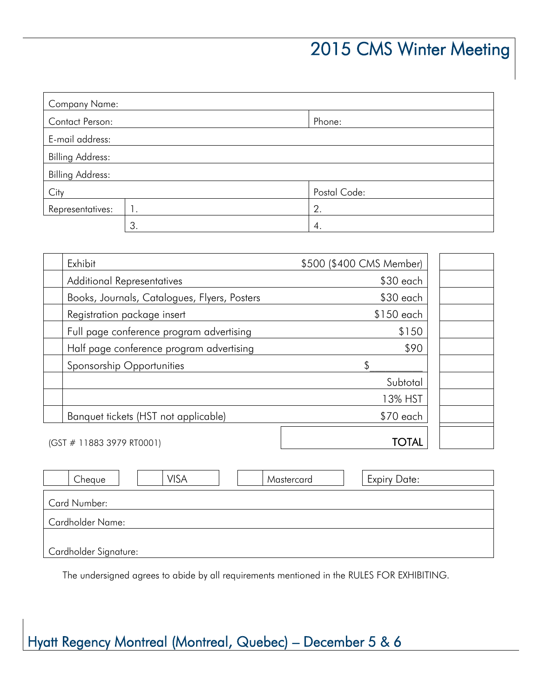| <b>Company Name:</b>    |    |              |  |
|-------------------------|----|--------------|--|
| Contact Person:         |    | Phone:       |  |
| E-mail address:         |    |              |  |
| <b>Billing Address:</b> |    |              |  |
| <b>Billing Address:</b> |    |              |  |
| City                    |    | Postal Code: |  |
| Representatives:        | Ι. | 2.           |  |
|                         | 3. | 4.           |  |

| Exhibit                                      | \$500 (\$400 CMS Member) |  |
|----------------------------------------------|--------------------------|--|
| <b>Additional Representatives</b>            | $$30$ each               |  |
| Books, Journals, Catalogues, Flyers, Posters | $$30$ each               |  |
| Registration package insert                  | \$150 each               |  |
| Full page conference program advertising     | \$150                    |  |
| Half page conference program advertising     | \$90                     |  |
| Sponsorship Opportunities                    | \$                       |  |
|                                              | Subtotal                 |  |
|                                              | 13% HST                  |  |
| Banquet tickets (HST not applicable)         | $$70$ each               |  |
| (GST # 11883 3979 RT0001)                    | <b>OTAL</b>              |  |

| <b>VISA</b><br>Cheque   | Mastercard | <b>Expiry Date:</b> |  |  |
|-------------------------|------------|---------------------|--|--|
| <b>Card Number:</b>     |            |                     |  |  |
| <b>Cardholder Name:</b> |            |                     |  |  |
| Cardholder Signature:   |            |                     |  |  |

The undersigned agrees to abide by all requirements mentioned in the RULES FOR EXHIBITING.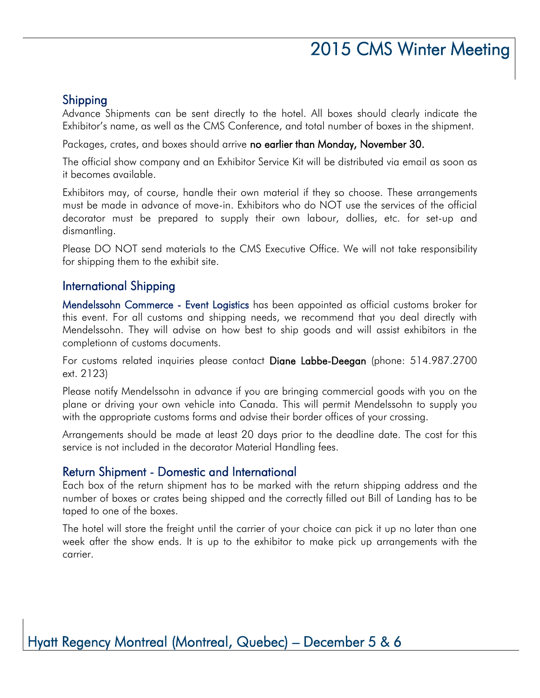#### Shipping

Advance Shipments can be sent directly to the hotel. All boxes should clearly indicate the Exhibitor's name, as well as the CMS Conference, and total number of boxes in the shipment.

Packages, crates, and boxes should arrive no earlier than Monday, November 30.

The official show company and an Exhibitor Service Kit will be distributed via email as soon as it becomes available.

Exhibitors may, of course, handle their own material if they so choose. These arrangements must be made in advance of move-in. Exhibitors who do NOT use the services of the official decorator must be prepared to supply their own labour, dollies, etc. for set-up and dismantling.

Please DO NOT send materials to the CMS Executive Office. We will not take responsibility for shipping them to the exhibit site.

#### International Shipping

Mendelssohn Commerce - Event Logistics has been appointed as official customs broker for this event. For all customs and shipping needs, we recommend that you deal directly with Mendelssohn. They will advise on how best to ship goods and will assist exhibitors in the completionn of customs documents.

For customs related inquiries please contact Diane Labbe-Deegan (phone: 514.987.2700 ext. 2123)

Please notify Mendelssohn in advance if you are bringing commercial goods with you on the plane or driving your own vehicle into Canada. This will permit Mendelssohn to supply you with the appropriate customs forms and advise their border offices of your crossing.

Arrangements should be made at least 20 days prior to the deadline date. The cost for this service is not included in the decorator Material Handling fees.

#### Return Shipment - Domestic and International

Each box of the return shipment has to be marked with the return shipping address and the number of boxes or crates being shipped and the correctly filled out Bill of Landing has to be taped to one of the boxes.

The hotel will store the freight until the carrier of your choice can pick it up no later than one week after the show ends. It is up to the exhibitor to make pick up arrangements with the carrier.